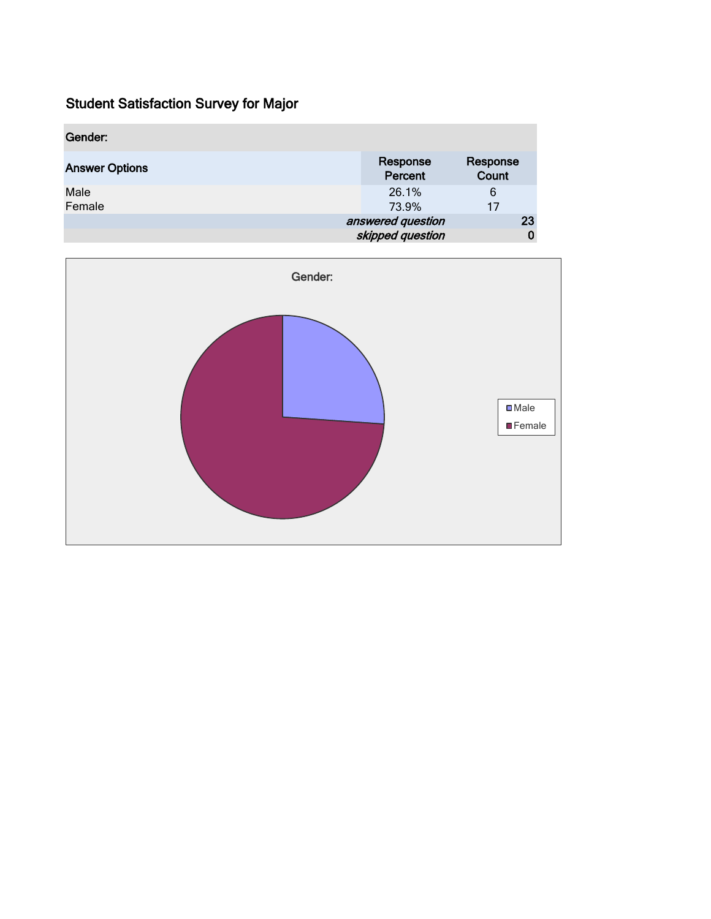| Gender:               |                                       |                   |
|-----------------------|---------------------------------------|-------------------|
| <b>Answer Options</b> | Response<br>Percent                   | Response<br>Count |
| Male<br>Female        | 26.1%<br>73.9%                        | 6<br>17           |
|                       | answered question<br>skipped question | 23                |

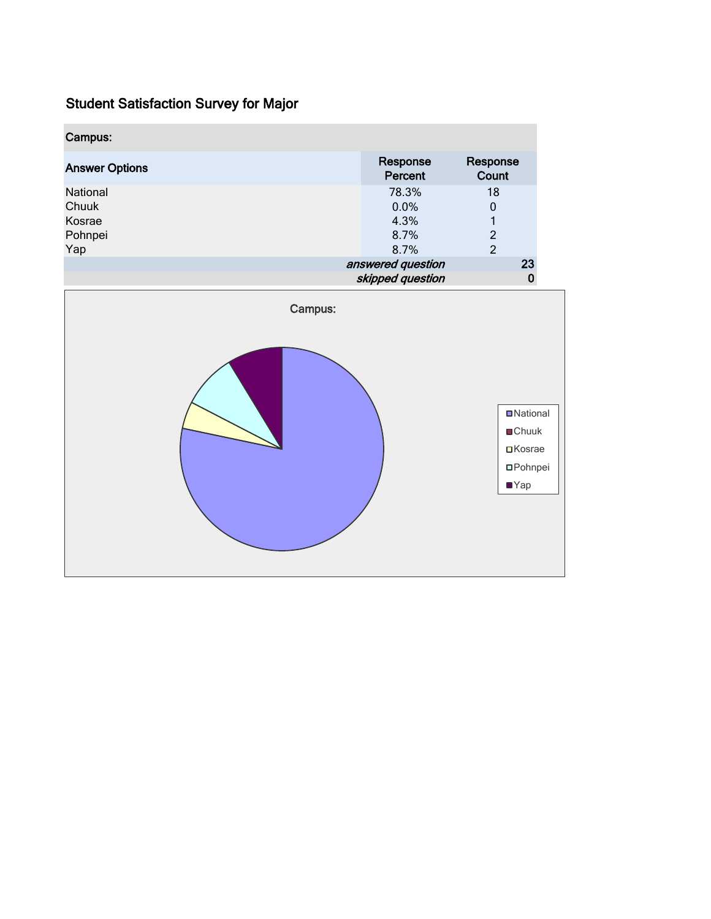| Campus:                                       |                                       |                                                                                       |  |
|-----------------------------------------------|---------------------------------------|---------------------------------------------------------------------------------------|--|
| <b>Answer Options</b>                         | Response<br>Percent                   | Response<br>Count                                                                     |  |
| National<br>Chuuk<br>Kosrae<br>Pohnpei<br>Yap | 78.3%<br>0.0%<br>4.3%<br>8.7%<br>8.7% | 18<br>$\pmb{0}$<br>$\mathbf{1}$<br>$\overline{c}$<br>$\overline{2}$                   |  |
|                                               | answered question<br>skipped question | 23<br>$\pmb{0}$                                                                       |  |
| Campus:                                       |                                       | <b>D</b> National<br><b>■Chuuk</b><br>$\Box$ Kosrae<br><b>OPohnpei</b><br>$\n  Yap\n$ |  |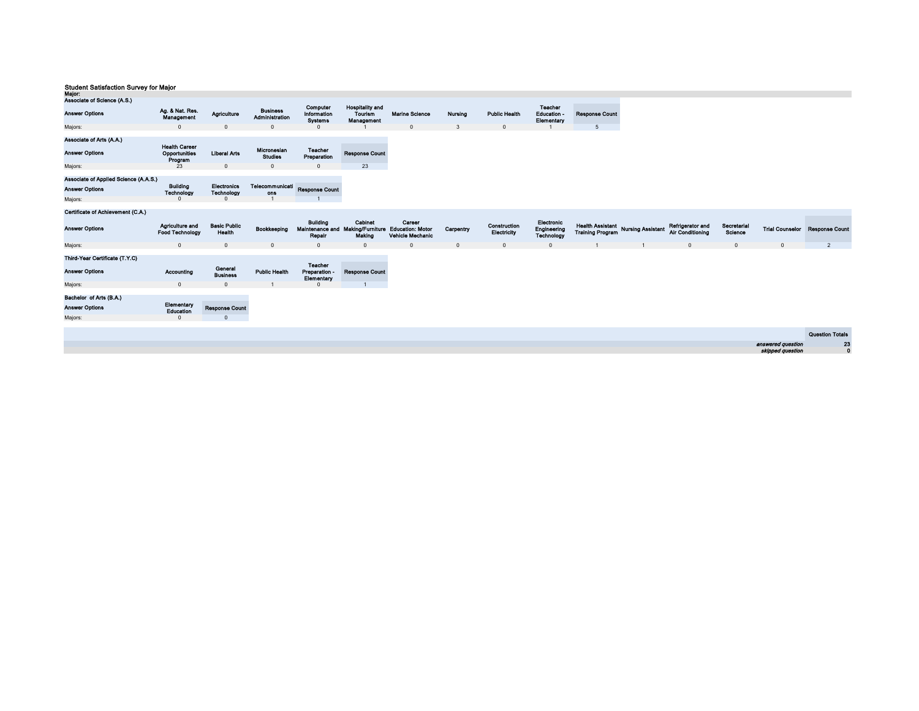| wajor.                                                                                                                         |                                                                           |                                                       |                                                              |                                                                 |                                                                        |                                   |                |                             |                                             |                                                               |                                             |                        |                                       |                        |
|--------------------------------------------------------------------------------------------------------------------------------|---------------------------------------------------------------------------|-------------------------------------------------------|--------------------------------------------------------------|-----------------------------------------------------------------|------------------------------------------------------------------------|-----------------------------------|----------------|-----------------------------|---------------------------------------------|---------------------------------------------------------------|---------------------------------------------|------------------------|---------------------------------------|------------------------|
| Associate of Science (A.S.)                                                                                                    |                                                                           |                                                       |                                                              |                                                                 |                                                                        |                                   |                |                             |                                             |                                                               |                                             |                        |                                       |                        |
| <b>Answer Options</b>                                                                                                          | Ag. & Nat. Res.<br>Management                                             | Agriculture                                           | <b>Business</b><br>Administration                            | Computer<br>Information<br><b>Systems</b>                       | <b>Hospitality and</b><br><b>Tourism</b><br>Management                 | <b>Marine Science</b>             | <b>Nursing</b> | <b>Public Health</b>        | <b>Teacher</b><br>Education -<br>Elementary | <b>Response Count</b>                                         |                                             |                        |                                       |                        |
| Majors:                                                                                                                        | $\mathbf{0}$                                                              | $\Omega$                                              | $\Omega$                                                     | $\Omega$                                                        |                                                                        | $\mathbf{0}$                      | 3              | $\Omega$                    |                                             | 5                                                             |                                             |                        |                                       |                        |
| Associate of Arts (A.A.)<br><b>Answer Options</b><br>Majors:<br>Associate of Applied Science (A.A.S.)<br><b>Answer Options</b> | <b>Health Career</b><br>Opportunities<br>Program<br>23<br><b>Building</b> | <b>Liberal Arts</b><br>$\Omega$<br><b>Electronics</b> | Micronesian<br><b>Studies</b><br>$\Omega$<br>Telecommunicati | Teacher<br>Preparation<br>$\mathbf{0}$<br><b>Response Count</b> | <b>Response Count</b><br>23                                            |                                   |                |                             |                                             |                                                               |                                             |                        |                                       |                        |
|                                                                                                                                | Technology                                                                | <b>Technology</b>                                     | ons                                                          |                                                                 |                                                                        |                                   |                |                             |                                             |                                                               |                                             |                        |                                       |                        |
| Majors:                                                                                                                        | $\Omega$                                                                  | $\Omega$                                              |                                                              |                                                                 |                                                                        |                                   |                |                             |                                             |                                                               |                                             |                        |                                       |                        |
| Certificate of Achievement (C.A.)                                                                                              |                                                                           |                                                       |                                                              |                                                                 |                                                                        |                                   |                |                             |                                             |                                                               |                                             |                        |                                       |                        |
|                                                                                                                                |                                                                           |                                                       |                                                              |                                                                 |                                                                        |                                   |                |                             |                                             |                                                               |                                             |                        |                                       |                        |
| <b>Answer Options</b>                                                                                                          | Agriculture and<br><b>Food Technology</b>                                 | <b>Basic Public</b><br>Health                         | Bookkeeping                                                  | <b>Building</b><br>Repair                                       | Cabinot<br>Maintenance and Making/Furniture Education: Motor<br>Making | Career<br><b>Vehicle Mechanic</b> | Carpontry      | Construction<br>Electricity | Electronic<br>Engineering<br>Technology     | Health Assistant Nursing Assistant<br><b>Training Program</b> | Refrigerator and<br><b>Air Conditioning</b> | Secretarial<br>Science | <b>Trial Counselor</b>                | <b>Response Count</b>  |
| Majors:                                                                                                                        | $\mathbf{0}$                                                              | $\Omega$                                              | $\mathbf{0}$                                                 | $\mathbf{0}$                                                    | $\Omega$                                                               | $\Omega$                          | $\mathbf{0}$   | $\mathbf{0}$                | $\mathbf{0}$                                |                                                               | $\overline{0}$                              | $\mathbf{0}$           | $\mathbf 0$                           | $\overline{2}$         |
| Third-Year Certificate (T.Y.C)<br><b>Answer Options</b>                                                                        | Accounting                                                                | General<br><b>Business</b>                            | <b>Public Health</b>                                         | <b>Teacher</b><br>Preparation -<br>Elementary                   | <b>Response Count</b>                                                  |                                   |                |                             |                                             |                                                               |                                             |                        |                                       |                        |
| Majors:                                                                                                                        | $\overline{0}$                                                            | $\Omega$                                              |                                                              |                                                                 |                                                                        |                                   |                |                             |                                             |                                                               |                                             |                        |                                       |                        |
| Bachelor of Arts (B.A.)                                                                                                        | Elementary                                                                |                                                       |                                                              |                                                                 |                                                                        |                                   |                |                             |                                             |                                                               |                                             |                        |                                       |                        |
| <b>Answer Options</b>                                                                                                          | Education                                                                 | <b>Response Count</b>                                 |                                                              |                                                                 |                                                                        |                                   |                |                             |                                             |                                                               |                                             |                        |                                       |                        |
| Majors:                                                                                                                        | $\overline{0}$                                                            | $\Omega$                                              |                                                              |                                                                 |                                                                        |                                   |                |                             |                                             |                                                               |                                             |                        |                                       |                        |
|                                                                                                                                |                                                                           |                                                       |                                                              |                                                                 |                                                                        |                                   |                |                             |                                             |                                                               |                                             |                        |                                       |                        |
|                                                                                                                                |                                                                           |                                                       |                                                              |                                                                 |                                                                        |                                   |                |                             |                                             |                                                               |                                             |                        |                                       | <b>Question Totals</b> |
|                                                                                                                                |                                                                           |                                                       |                                                              |                                                                 |                                                                        |                                   |                |                             |                                             |                                                               |                                             |                        | answered question<br>skipped question | 23<br>$\mathbf 0$      |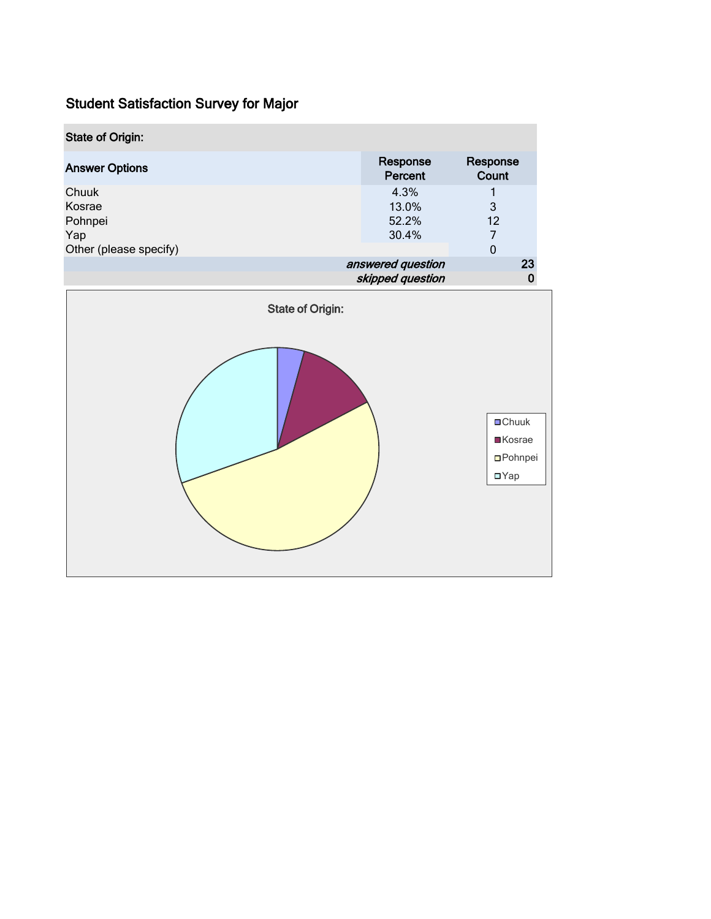| <b>State of Origin:</b> |                     |                   |  |  |
|-------------------------|---------------------|-------------------|--|--|
| <b>Answer Options</b>   | Response<br>Percent | Response<br>Count |  |  |
| Chuuk                   | 4.3%                |                   |  |  |
| Kosrae                  | 13.0%               | 3                 |  |  |
| Pohnpei                 | 52.2%               | $12 \overline{ }$ |  |  |
| Yap                     | 30.4%               |                   |  |  |
| Other (please specify)  |                     | 0                 |  |  |
|                         | answered question   |                   |  |  |
|                         | skipped question    |                   |  |  |
| <b>State of Origin:</b> |                     |                   |  |  |